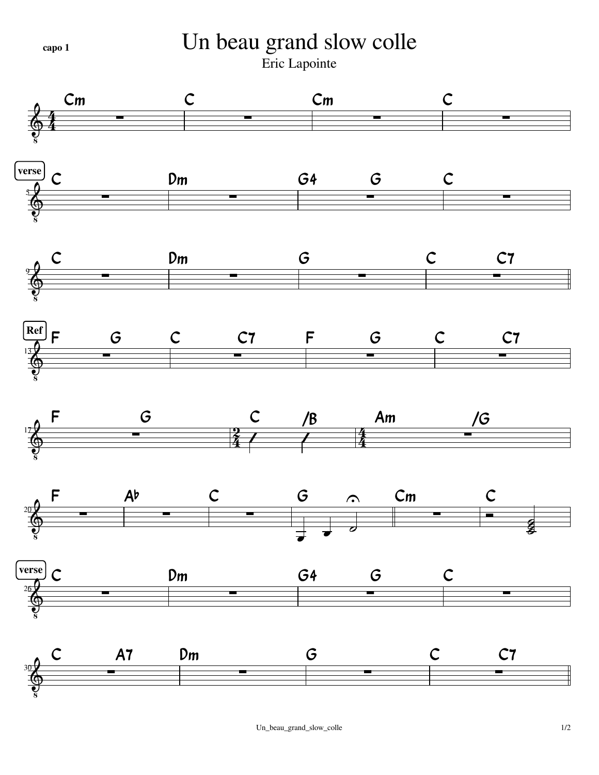Un beau grand slow colle capo 1